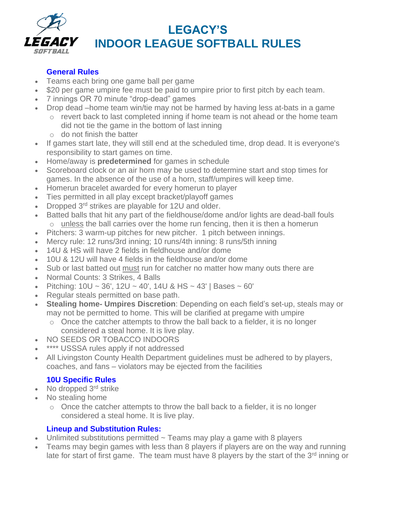

# **LEGACY'S INDOOR LEAGUE SOFTBALL RULES**

## **General Rules**

- Teams each bring one game ball per game
- \$20 per game umpire fee must be paid to umpire prior to first pitch by each team.
- 7 innings OR 70 minute "drop-dead" games
- Drop dead –home team win/tie may not be harmed by having less at-bats in a game
	- o revert back to last completed inning if home team is not ahead or the home team did not tie the game in the bottom of last inning
	- o do not finish the batter
- If games start late, they will still end at the scheduled time, drop dead. It is everyone's responsibility to start games on time.
- Home/away is **predetermined** for games in schedule
- Scoreboard clock or an air horn may be used to determine start and stop times for games. In the absence of the use of a horn, staff/umpires will keep time.
- Homerun bracelet awarded for every homerun to player
- Ties permitted in all play except bracket/playoff games
- Dropped 3<sup>rd</sup> strikes are playable for 12U and older.
- Batted balls that hit any part of the fieldhouse/dome and/or lights are dead-ball fouls  $\circ$  unless the ball carries over the home run fencing, then it is then a homerun
- Pitchers: 3 warm-up pitches for new pitcher. 1 pitch between innings.
- Mercy rule: 12 runs/3rd inning; 10 runs/4th inning: 8 runs/5th inning
- 14U & HS will have 2 fields in fieldhouse and/or dome
- 10U & 12U will have 4 fields in the fieldhouse and/or dome
- Sub or last batted out must run for catcher no matter how many outs there are
- Normal Counts: 3 Strikes, 4 Balls
- Pitching:  $10U \sim 36'$ ,  $12U \sim 40'$ ,  $14U & HS \sim 43'$  | Bases  $\sim 60'$
- Regular steals permitted on base path.
- **Stealing home- Umpires Discretion**: Depending on each field's set-up, steals may or may not be permitted to home. This will be clarified at pregame with umpire
	- o Once the catcher attempts to throw the ball back to a fielder, it is no longer considered a steal home. It is live play.
- NO SEEDS OR TOBACCO INDOORS
- \*\*\*\* USSSA rules apply if not addressed
- All Livingston County Health Department guidelines must be adhered to by players, coaches, and fans – violators may be ejected from the facilities

### **10U Specific Rules**

- No dropped 3<sup>rd</sup> strike
- No stealing home
	- o Once the catcher attempts to throw the ball back to a fielder, it is no longer considered a steal home. It is live play.

#### **Lineup and Substitution Rules:**

- Unlimited substitutions permitted  $\sim$  Teams may play a game with 8 players
- Teams may begin games with less than 8 players if players are on the way and running late for start of first game. The team must have 8 players by the start of the 3<sup>rd</sup> inning or